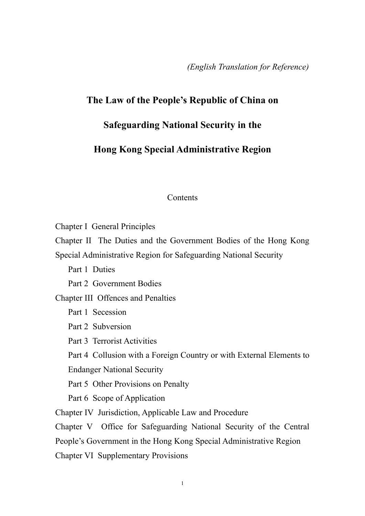*(English Translation for Reference)*

## **The Law of the People's Republic of China on**

## **Safeguarding National Security in the**

## **Hong Kong Special Administrative Region**

## **Contents**

Chapter I General Principles Chapter II The Duties and the Government Bodies of the Hong Kong Special Administrative Region for Safeguarding National Security Part 1 Duties Part 2 Government Bodies Chapter III Offences and Penalties Part 1 Secession Part 2 Subversion Part 3 Terrorist Activities Part 4 Collusion with a Foreign Country or with External Elements to Endanger National Security Part 5 Other Provisions on Penalty Part 6 Scope of Application Chapter IV Jurisdiction, Applicable Law and Procedure Chapter V Office for Safeguarding National Security of the Central People's Government in the Hong Kong Special Administrative Region Chapter VI Supplementary Provisions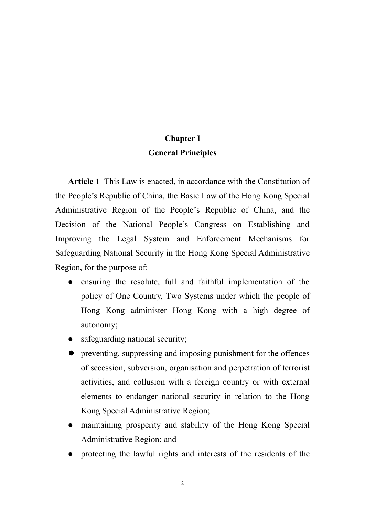# **Chapter I General Principles**

**Article 1** This Law is enacted, in accordance with the Constitution of the People's Republic of China, the Basic Law of the Hong Kong Special Administrative Region of the People's Republic of China, and the Decision of the National People's Congress on Establishing and Improving the Legal System and Enforcement Mechanisms for Safeguarding National Security in the Hong Kong Special Administrative Region, for the purpose of:

- ensuring the resolute, full and faithful implementation of the policy of One Country, Two Systems under which the people of Hong Kong administer Hong Kong with a high degree of autonomy;
- safeguarding national security;
- preventing, suppressing and imposing punishment for the offences of secession, subversion, organisation and perpetration of terrorist activities, and collusion with a foreign country or with external elements to endanger national security in relation to the Hong Kong Special Administrative Region;
- maintaining prosperity and stability of the Hong Kong Special Administrative Region; and
- protecting the lawful rights and interests of the residents of the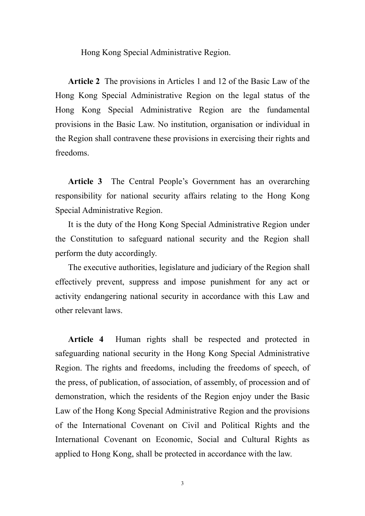Hong Kong Special Administrative Region.

**Article 2** The provisions in Articles 1 and 12 of the Basic Law of the Hong Kong Special Administrative Region on the legal status of the Hong Kong Special Administrative Region are the fundamental provisions in the Basic Law. No institution, organisation or individual in the Region shall contravene these provisions in exercising their rights and freedoms.

**Article 3** The Central People's Government has an overarching responsibility for national security affairs relating to the Hong Kong Special Administrative Region.

It is the duty of the Hong Kong Special Administrative Region under the Constitution to safeguard national security and the Region shall perform the duty accordingly.

The executive authorities, legislature and judiciary of the Region shall effectively prevent, suppress and impose punishment for any act or activity endangering national security in accordance with this Law and other relevant laws.

**Article 4** Human rights shall be respected and protected in safeguarding national security in the Hong Kong Special Administrative Region. The rights and freedoms, including the freedoms of speech, of the press, of publication, of association, of assembly, of procession and of demonstration, which the residents of the Region enjoy under the Basic Law of the Hong Kong Special Administrative Region and the provisions of the International Covenant on Civil and Political Rights and the International Covenant on Economic, Social and Cultural Rights as applied to Hong Kong, shall be protected in accordance with the law.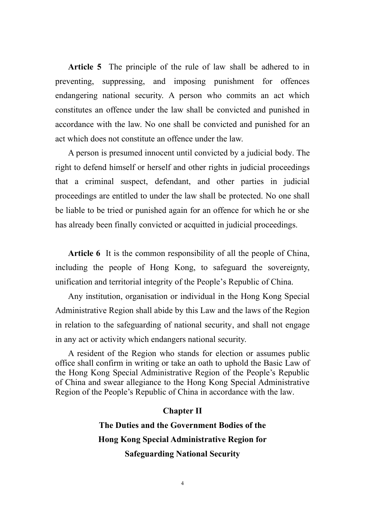**Article 5** The principle of the rule of law shall be adhered to in preventing, suppressing, and imposing punishment for offences endangering national security. A person who commits an act which constitutes an offence under the law shall be convicted and punished in accordance with the law. No one shall be convicted and punished for an act which does not constitute an offence under the law.

A person is presumed innocent until convicted by a judicial body. The right to defend himself or herself and other rights in judicial proceedings that a criminal suspect, defendant, and other parties in judicial proceedings are entitled to under the law shall be protected. No one shall be liable to be tried or punished again for an offence for which he or she has already been finally convicted or acquitted in judicial proceedings.

**Article 6** It is the common responsibility of all the people of China, including the people of Hong Kong, to safeguard the sovereignty, unification and territorial integrity of the People's Republic of China.

Any institution, organisation or individual in the Hong Kong Special Administrative Region shall abide by this Law and the laws of the Region in relation to the safeguarding of national security, and shall not engage in any act or activity which endangers national security.

A resident of the Region who stands for election or assumes public office shall confirm in writing or take an oath to uphold the Basic Law of the Hong Kong Special Administrative Region of the People's Republic of China and swear allegiance to the Hong Kong Special Administrative Region of the People's Republic of China in accordance with the law.

#### **Chapter II**

**The Duties and the Government Bodies of the Hong Kong Special Administrative Region for Safeguarding National Security**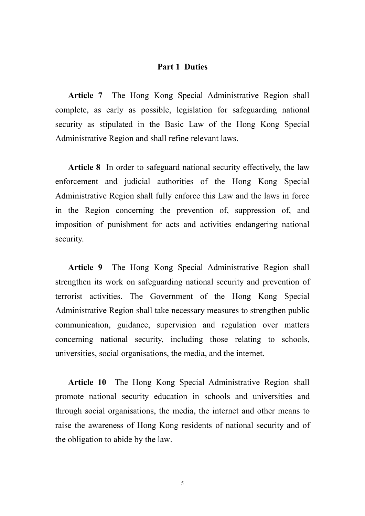## **Part 1 Duties**

**Article 7** The Hong Kong Special Administrative Region shall complete, as early as possible, legislation for safeguarding national security as stipulated in the Basic Law of the Hong Kong Special Administrative Region and shall refine relevant laws.

**Article 8** In order to safeguard national security effectively, the law enforcement and judicial authorities of the Hong Kong Special Administrative Region shall fully enforce this Law and the laws in force in the Region concerning the prevention of, suppression of, and imposition of punishment for acts and activities endangering national security.

**Article 9** The Hong Kong Special Administrative Region shall strengthen its work on safeguarding national security and prevention of terrorist activities. The Government of the Hong Kong Special Administrative Region shall take necessary measures to strengthen public communication, guidance, supervision and regulation over matters concerning national security, including those relating to schools, universities, social organisations, the media, and the internet.

**Article 10** The Hong Kong Special Administrative Region shall promote national security education in schools and universities and through social organisations, the media, the internet and other means to raise the awareness of Hong Kong residents of national security and of the obligation to abide by the law.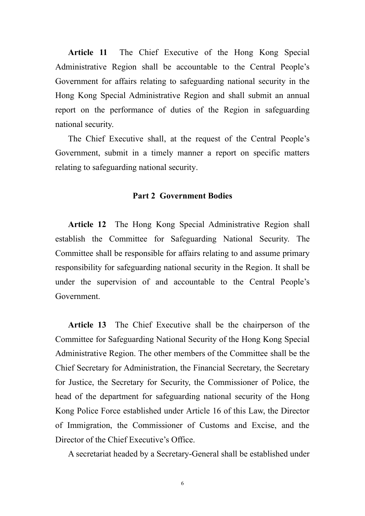**Article 11** The Chief Executive of the Hong Kong Special Administrative Region shall be accountable to the Central People's Government for affairs relating to safeguarding national security in the Hong Kong Special Administrative Region and shall submit an annual report on the performance of duties of the Region in safeguarding national security.

The Chief Executive shall, at the request of the Central People's Government, submit in a timely manner a report on specific matters relating to safeguarding national security.

#### **Part 2 Government Bodies**

**Article 12** The Hong Kong Special Administrative Region shall establish the Committee for Safeguarding National Security. The Committee shall be responsible for affairs relating to and assume primary responsibility for safeguarding national security in the Region. It shall be under the supervision of and accountable to the Central People's Government.

**Article 13** The Chief Executive shall be the chairperson of the Committee for Safeguarding National Security of the Hong Kong Special Administrative Region. The other members of the Committee shall be the Chief Secretary for Administration, the Financial Secretary, the Secretary for Justice, the Secretary for Security, the Commissioner of Police, the head of the department for safeguarding national security of the Hong Kong Police Force established under Article 16 of this Law, the Director of Immigration, the Commissioner of Customs and Excise, and the Director of the Chief Executive's Office.

A secretariat headed by a Secretary-General shall be established under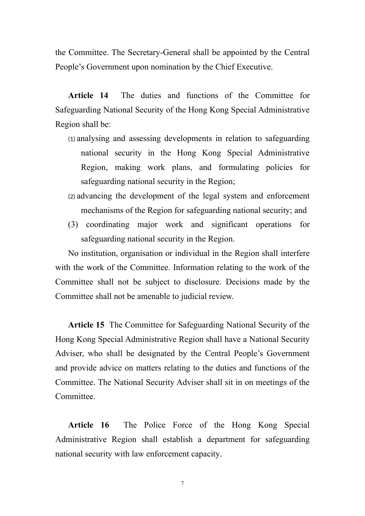the Committee. The Secretary-General shall be appointed by the Central People's Government upon nomination by the Chief Executive.

Article 14 The duties and functions of the Committee for Safeguarding National Security of the Hong Kong Special Administrative Region shall be:

- (1) analysing and assessing developments in relation to safeguarding national security in the Hong Kong Special Administrative Region, making work plans, and formulating policies for safeguarding national security in the Region;
- (2) advancing the development of the legal system and enforcement mechanisms of the Region for safeguarding national security; and
- (3) coordinating major work and significant operations for safeguarding national security in the Region.

No institution, organisation or individual in the Region shall interfere with the work of the Committee. Information relating to the work of the Committee shall not be subject to disclosure. Decisions made by the Committee shall not be amenable to judicial review.

**Article 15** The Committee for Safeguarding National Security of the Hong Kong Special Administrative Region shall have a National Security Adviser, who shall be designated by the Central People's Government and provide advice on matters relating to the duties and functions of the Committee. The National Security Adviser shall sit in on meetings of the **Committee** 

**Article 16** The Police Force of the Hong Kong Special Administrative Region shall establish a department for safeguarding national security with law enforcement capacity.

7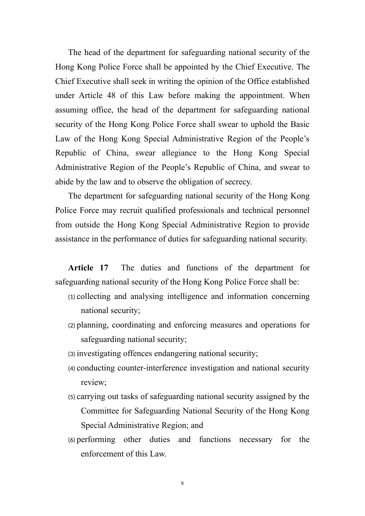The head of the department for safeguarding national security of the Hong Kong Police Force shall be appointed by the Chief Executive. The Chief Executive shall seek in writing the opinion of the Office established under Article 48 of this Law before making the appointment. When assuming office, the head of the department for safeguarding national security of the Hong Kong Police Force shall swear to uphold the Basic Law of the Hong Kong Special Administrative Region of the People's Republic of China, swear allegiance to the Hong Kong Special Administrative Region of the People's Republic of China, and swear to abide by the law and to observe the obligation of secrecy.

The department for safeguarding national security of the Hong Kong Police Force may recruit qualified professionals and technical personnel from outside the Hong Kong Special Administrative Region to provide assistance in the performance of duties for safeguarding national security.

**Article 17** The duties and functions of the department for safeguarding national security of the Hong Kong Police Force shall be:

- (1) collecting and analysing intelligence and information concerning national security;
- (2) planning, coordinating and enforcing measures and operations for safeguarding national security;
- (3) investigating offences endangering national security;
- (4) conducting counter-interference investigation and national security review;
- (5) carrying out tasks of safeguarding national security assigned by the Committee for Safeguarding National Security of the Hong Kong Special Administrative Region; and
- (6) performing other duties and functions necessary for the enforcement of this Law.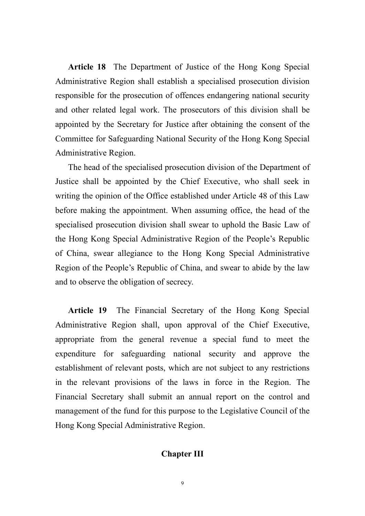**Article 18** The Department of Justice of the Hong Kong Special Administrative Region shall establish a specialised prosecution division responsible for the prosecution of offences endangering national security and other related legal work. The prosecutors of this division shall be appointed by the Secretary for Justice after obtaining the consent of the Committee for Safeguarding National Security of the Hong Kong Special Administrative Region.

The head of the specialised prosecution division of the Department of Justice shall be appointed by the Chief Executive, who shall seek in writing the opinion of the Office established under Article 48 of this Law before making the appointment. When assuming office, the head of the specialised prosecution division shall swear to uphold the Basic Law of the Hong Kong Special Administrative Region of the People's Republic of China, swear allegiance to the Hong Kong Special Administrative Region of the People's Republic of China, and swear to abide by the law and to observe the obligation of secrecy.

**Article 19** The Financial Secretary of the Hong Kong Special Administrative Region shall, upon approval of the Chief Executive, appropriate from the general revenue a special fund to meet the expenditure for safeguarding national security and approve the establishment of relevant posts, which are not subject to any restrictions in the relevant provisions of the laws in force in the Region. The Financial Secretary shall submit an annual report on the control and management of the fund for this purpose to the Legislative Council of the Hong Kong Special Administrative Region.

## **Chapter III**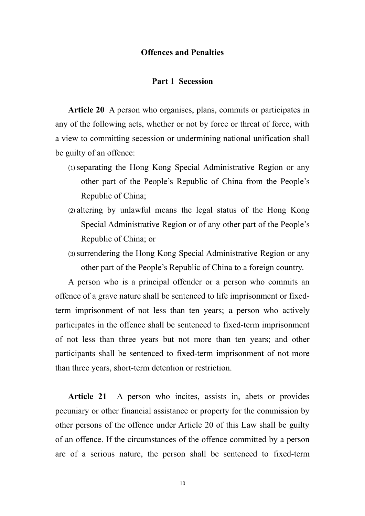### **Offences and Penalties**

#### **Part 1 Secession**

**Article 20** A person who organises, plans, commits or participates in any of the following acts, whether or not by force or threat of force, with a view to committing secession or undermining national unification shall be guilty of an offence:

- (1) separating the Hong Kong Special Administrative Region or any other part of the People's Republic of China from the People's Republic of China;
- (2) altering by unlawful means the legal status of the Hong Kong Special Administrative Region or of any other part of the People's Republic of China; or
- (3) surrendering the Hong Kong Special Administrative Region or any other part of the People's Republic of China to a foreign country.

A person who is a principal offender or a person who commits an offence of a grave nature shall be sentenced to life imprisonment or fixedterm imprisonment of not less than ten years; a person who actively participates in the offence shall be sentenced to fixed-term imprisonment of not less than three years but not more than ten years; and other participants shall be sentenced to fixed-term imprisonment of not more than three years, short-term detention or restriction.

**Article 21** A person who incites, assists in, abets or provides pecuniary or other financial assistance or property for the commission by other persons of the offence under Article 20 of this Law shall be guilty of an offence. If the circumstances of the offence committed by a person are of a serious nature, the person shall be sentenced to fixed-term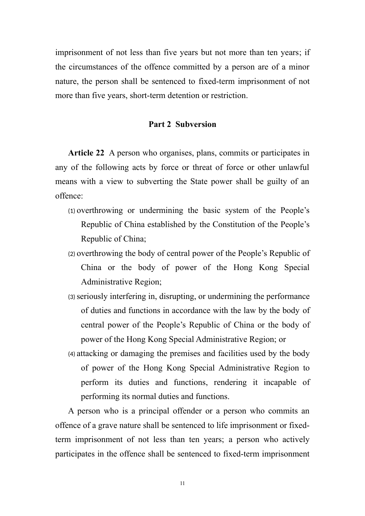imprisonment of not less than five years but not more than ten years; if the circumstances of the offence committed by a person are of a minor nature, the person shall be sentenced to fixed-term imprisonment of not more than five years, short-term detention or restriction.

## **Part 2 Subversion**

**Article 22** A person who organises, plans, commits or participates in any of the following acts by force or threat of force or other unlawful means with a view to subverting the State power shall be guilty of an offence:

- (1) overthrowing or undermining the basic system of the People's Republic of China established by the Constitution of the People's Republic of China;
- (2) overthrowing the body of central power of the People's Republic of China or the body of power of the Hong Kong Special Administrative Region;
- (3) seriously interfering in, disrupting, or undermining the performance of duties and functions in accordance with the law by the body of central power of the People's Republic of China or the body of power of the Hong Kong Special Administrative Region; or
- (4) attacking or damaging the premises and facilities used by the body of power of the Hong Kong Special Administrative Region to perform its duties and functions, rendering it incapable of performing its normal duties and functions.

A person who is a principal offender or a person who commits an offence of a grave nature shall be sentenced to life imprisonment or fixedterm imprisonment of not less than ten years; a person who actively participates in the offence shall be sentenced to fixed-term imprisonment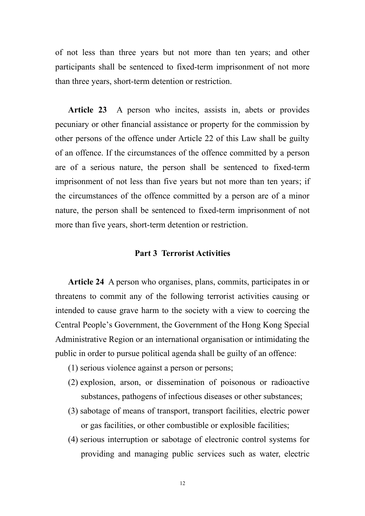of not less than three years but not more than ten years; and other participants shall be sentenced to fixed-term imprisonment of not more than three years, short-term detention or restriction.

**Article 23** A person who incites, assists in, abets or provides pecuniary or other financial assistance or property for the commission by other persons of the offence under Article 22 of this Law shall be guilty of an offence. If the circumstances of the offence committed by a person are of a serious nature, the person shall be sentenced to fixed-term imprisonment of not less than five years but not more than ten years; if the circumstances of the offence committed by a person are of a minor nature, the person shall be sentenced to fixed-term imprisonment of not more than five years, short-term detention or restriction.

## **Part 3 Terrorist Activities**

**Article 24** A person who organises, plans, commits, participates in or threatens to commit any of the following terrorist activities causing or intended to cause grave harm to the society with a view to coercing the Central People's Government, the Government of the Hong Kong Special Administrative Region or an international organisation or intimidating the public in order to pursue political agenda shall be guilty of an offence:

- (1) serious violence against a person or persons;
- (2) explosion, arson, or dissemination of poisonous or radioactive substances, pathogens of infectious diseases or other substances;
- (3) sabotage of means of transport, transport facilities, electric power or gas facilities, or other combustible or explosible facilities;
- (4) serious interruption or sabotage of electronic control systems for providing and managing public services such as water, electric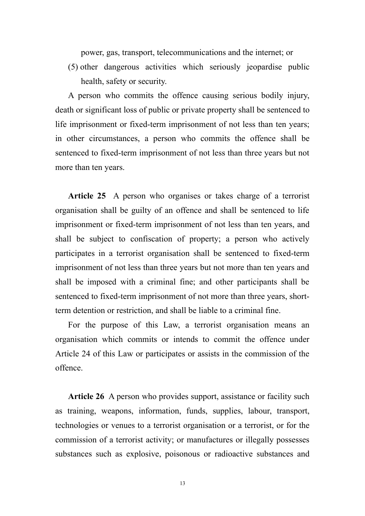power, gas, transport, telecommunications and the internet; or

(5) other dangerous activities which seriously jeopardise public health, safety or security.

A person who commits the offence causing serious bodily injury, death or significant loss of public or private property shall be sentenced to life imprisonment or fixed-term imprisonment of not less than ten years; in other circumstances, a person who commits the offence shall be sentenced to fixed-term imprisonment of not less than three years but not more than ten years.

**Article 25** A person who organises or takes charge of a terrorist organisation shall be guilty of an offence and shall be sentenced to life imprisonment or fixed-term imprisonment of not less than ten years, and shall be subject to confiscation of property; a person who actively participates in a terrorist organisation shall be sentenced to fixed-term imprisonment of not less than three years but not more than ten years and shall be imposed with a criminal fine; and other participants shall be sentenced to fixed-term imprisonment of not more than three years, shortterm detention or restriction, and shall be liable to a criminal fine.

For the purpose of this Law, a terrorist organisation means an organisation which commits or intends to commit the offence under Article 24 of this Law or participates or assists in the commission of the offence.

Article 26 A person who provides support, assistance or facility such as training, weapons, information, funds, supplies, labour, transport, technologies or venues to a terrorist organisation or a terrorist, or for the commission of a terrorist activity; or manufactures or illegally possesses substances such as explosive, poisonous or radioactive substances and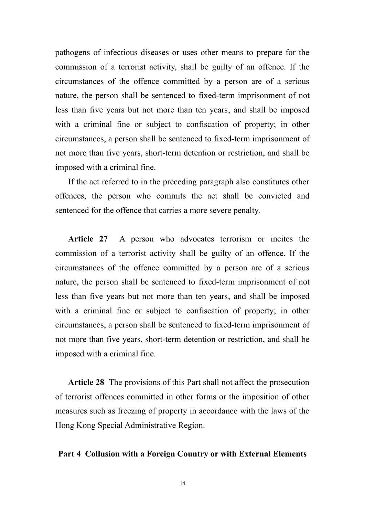pathogens of infectious diseases or uses other means to prepare for the commission of a terrorist activity, shall be guilty of an offence. If the circumstances of the offence committed by a person are of a serious nature, the person shall be sentenced to fixed-term imprisonment of not less than five years but not more than ten years, and shall be imposed with a criminal fine or subject to confiscation of property; in other circumstances, a person shall be sentenced to fixed-term imprisonment of not more than five years, short-term detention or restriction, and shall be imposed with a criminal fine.

If the act referred to in the preceding paragraph also constitutes other offences, the person who commits the act shall be convicted and sentenced for the offence that carries a more severe penalty.

**Article 27** A person who advocates terrorism or incites the commission of a terrorist activity shall be guilty of an offence. If the circumstances of the offence committed by a person are of a serious nature, the person shall be sentenced to fixed-term imprisonment of not less than five years but not more than ten years, and shall be imposed with a criminal fine or subject to confiscation of property; in other circumstances, a person shall be sentenced to fixed-term imprisonment of not more than five years, short-term detention or restriction, and shall be imposed with a criminal fine.

**Article 28** The provisions of this Part shall not affect the prosecution of terrorist offences committed in other forms or the imposition of other measures such as freezing of property in accordance with the laws of the Hong Kong Special Administrative Region.

### **Part 4 Collusion with a Foreign Country or with External Elements**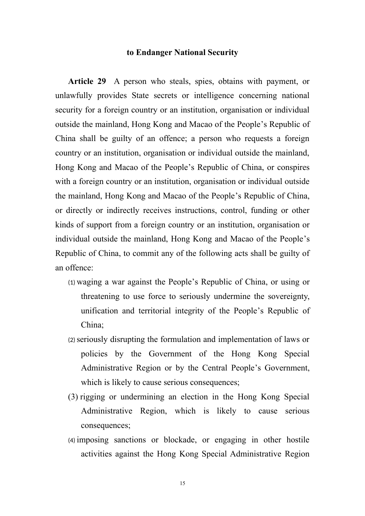### **to Endanger National Security**

**Article 29** A person who steals, spies, obtains with payment, or unlawfully provides State secrets or intelligence concerning national security for a foreign country or an institution, organisation or individual outside the mainland, Hong Kong and Macao of the People's Republic of China shall be guilty of an offence; a person who requests a foreign country or an institution, organisation or individual outside the mainland, Hong Kong and Macao of the People's Republic of China, or conspires with a foreign country or an institution, organisation or individual outside the mainland, Hong Kong and Macao of the People's Republic of China, or directly or indirectly receives instructions, control, funding or other kinds of support from a foreign country or an institution, organisation or individual outside the mainland, Hong Kong and Macao of the People's Republic of China, to commit any of the following acts shall be guilty of an offence:

- (1) waging a war against the People's Republic of China, or using or threatening to use force to seriously undermine the sovereignty, unification and territorial integrity of the People's Republic of China;
- (2) seriously disrupting the formulation and implementation of laws or policies by the Government of the Hong Kong Special Administrative Region or by the Central People's Government, which is likely to cause serious consequences;
- (3) rigging or undermining an election in the Hong Kong Special Administrative Region, which is likely to cause serious consequences;
- (4) imposing sanctions or blockade, or engaging in other hostile activities against the Hong Kong Special Administrative Region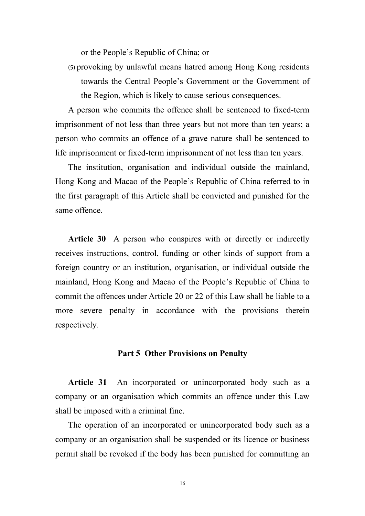or the People's Republic of China; or

(5) provoking by unlawful means hatred among Hong Kong residents towards the Central People's Government or the Government of the Region, which is likely to cause serious consequences.

A person who commits the offence shall be sentenced to fixed-term imprisonment of not less than three years but not more than ten years; a person who commits an offence of a grave nature shall be sentenced to life imprisonment or fixed-term imprisonment of not less than ten years.

The institution, organisation and individual outside the mainland, Hong Kong and Macao of the People's Republic of China referred to in the first paragraph of this Article shall be convicted and punished for the same offence.

**Article 30** A person who conspires with or directly or indirectly receives instructions, control, funding or other kinds of support from a foreign country or an institution, organisation, or individual outside the mainland, Hong Kong and Macao of the People's Republic of China to commit the offences under Article 20 or 22 of this Law shall be liable to a more severe penalty in accordance with the provisions therein respectively.

## **Part 5 Other Provisions on Penalty**

Article 31 An incorporated or unincorporated body such as a company or an organisation which commits an offence under this Law shall be imposed with a criminal fine.

The operation of an incorporated or unincorporated body such as a company or an organisation shall be suspended or its licence or business permit shall be revoked if the body has been punished for committing an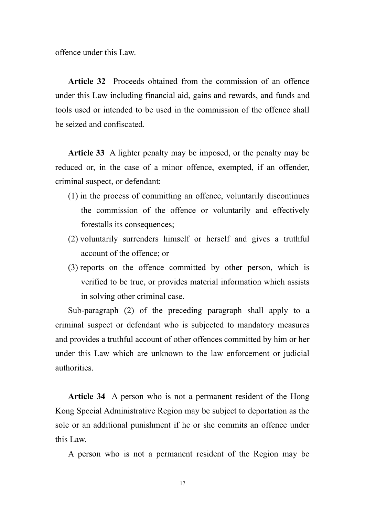offence under this Law.

**Article 32** Proceeds obtained from the commission of an offence under this Law including financial aid, gains and rewards, and funds and tools used or intended to be used in the commission of the offence shall be seized and confiscated.

**Article 33** A lighter penalty may be imposed, or the penalty may be reduced or, in the case of a minor offence, exempted, if an offender, criminal suspect, or defendant:

- (1) in the process of committing an offence, voluntarily discontinues the commission of the offence or voluntarily and effectively forestalls its consequences;
- (2) voluntarily surrenders himself or herself and gives a truthful account of the offence; or
- (3) reports on the offence committed by other person, which is verified to be true, or provides material information which assists in solving other criminal case.

Sub-paragraph (2) of the preceding paragraph shall apply to a criminal suspect or defendant who is subjected to mandatory measures and provides a truthful account of other offences committed by him or her under this Law which are unknown to the law enforcement or judicial authorities.

**Article 34** A person who is not a permanent resident of the Hong Kong Special Administrative Region may be subject to deportation as the sole or an additional punishment if he or she commits an offence under this Law.

A person who is not a permanent resident of the Region may be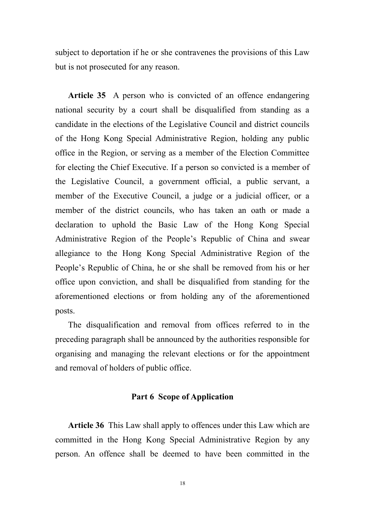subject to deportation if he or she contravenes the provisions of this Law but is not prosecuted for any reason.

**Article 35** A person who is convicted of an offence endangering national security by a court shall be disqualified from standing as a candidate in the elections of the Legislative Council and district councils of the Hong Kong Special Administrative Region, holding any public office in the Region, or serving as a member of the Election Committee for electing the Chief Executive. If a person so convicted is a member of the Legislative Council, a government official, a public servant, a member of the Executive Council, a judge or a judicial officer, or a member of the district councils, who has taken an oath or made a declaration to uphold the Basic Law of the Hong Kong Special Administrative Region of the People's Republic of China and swear allegiance to the Hong Kong Special Administrative Region of the People's Republic of China, he or she shall be removed from his or her office upon conviction, and shall be disqualified from standing for the aforementioned elections or from holding any of the aforementioned posts.

The disqualification and removal from offices referred to in the preceding paragraph shall be announced by the authorities responsible for organising and managing the relevant elections or for the appointment and removal of holders of public office.

## **Part 6 Scope of Application**

**Article 36** This Law shall apply to offences under this Law which are committed in the Hong Kong Special Administrative Region by any person. An offence shall be deemed to have been committed in the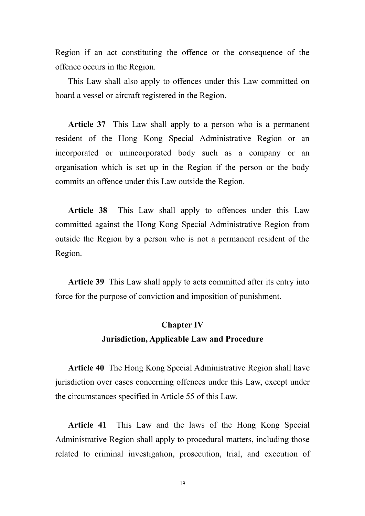Region if an act constituting the offence or the consequence of the offence occurs in the Region.

This Law shall also apply to offences under this Law committed on board a vessel or aircraft registered in the Region.

**Article 37** This Law shall apply to a person who is a permanent resident of the Hong Kong Special Administrative Region or an incorporated or unincorporated body such as a company or an organisation which is set up in the Region if the person or the body commits an offence under this Law outside the Region.

**Article 38** This Law shall apply to offences under this Law committed against the Hong Kong Special Administrative Region from outside the Region by a person who is not a permanent resident of the Region.

**Article 39** This Law shall apply to acts committed after its entry into force for the purpose of conviction and imposition of punishment.

# **Chapter IV Jurisdiction, Applicable Law and Procedure**

**Article 40** The Hong Kong Special Administrative Region shall have jurisdiction over cases concerning offences under this Law, except under the circumstances specified in Article 55 of this Law.

**Article 41** This Law and the laws of the Hong Kong Special Administrative Region shall apply to procedural matters, including those related to criminal investigation, prosecution, trial, and execution of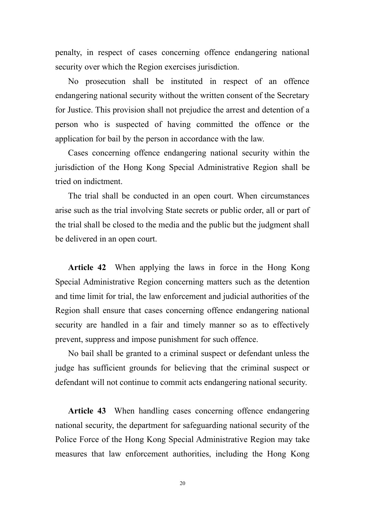penalty, in respect of cases concerning offence endangering national security over which the Region exercises jurisdiction.

No prosecution shall be instituted in respect of an offence endangering national security without the written consent of the Secretary for Justice. This provision shall not prejudice the arrest and detention of a person who is suspected of having committed the offence or the application for bail by the person in accordance with the law.

Cases concerning offence endangering national security within the jurisdiction of the Hong Kong Special Administrative Region shall be tried on indictment.

The trial shall be conducted in an open court. When circumstances arise such as the trial involving State secrets or public order, all or part of the trial shall be closed to the media and the public but the judgment shall be delivered in an open court.

**Article 42** When applying the laws in force in the Hong Kong Special Administrative Region concerning matters such as the detention and time limit for trial, the law enforcement and judicial authorities of the Region shall ensure that cases concerning offence endangering national security are handled in a fair and timely manner so as to effectively prevent, suppress and impose punishment for such offence.

No bail shall be granted to a criminal suspect or defendant unless the judge has sufficient grounds for believing that the criminal suspect or defendant will not continue to commit acts endangering national security.

**Article 43** When handling cases concerning offence endangering national security, the department for safeguarding national security of the Police Force of the Hong Kong Special Administrative Region may take measures that law enforcement authorities, including the Hong Kong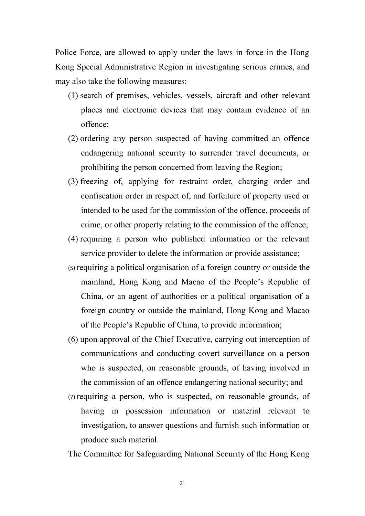Police Force, are allowed to apply under the laws in force in the Hong Kong Special Administrative Region in investigating serious crimes, and may also take the following measures:

- (1) search of premises, vehicles, vessels, aircraft and other relevant places and electronic devices that may contain evidence of an offence;
- (2) ordering any person suspected of having committed an offence endangering national security to surrender travel documents, or prohibiting the person concerned from leaving the Region;
- (3) freezing of, applying for restraint order, charging order and confiscation order in respect of, and forfeiture of property used or intended to be used for the commission of the offence, proceeds of crime, or other property relating to the commission of the offence;
- (4) requiring a person who published information or the relevant service provider to delete the information or provide assistance;
- (5) requiring a political organisation of a foreign country or outside the mainland, Hong Kong and Macao of the People's Republic of China, or an agent of authorities or a political organisation of a foreign country or outside the mainland, Hong Kong and Macao of the People's Republic of China, to provide information;
- (6) upon approval of the Chief Executive, carrying out interception of communications and conducting covert surveillance on a person who is suspected, on reasonable grounds, of having involved in the commission of an offence endangering national security; and
- (7) requiring a person, who is suspected, on reasonable grounds, of having in possession information or material relevant to investigation, to answer questions and furnish such information or produce such material.

The Committee for Safeguarding National Security of the Hong Kong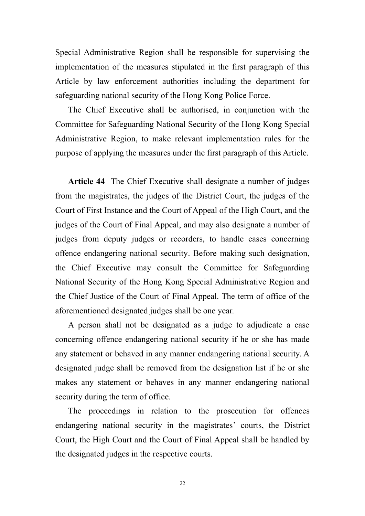Special Administrative Region shall be responsible for supervising the implementation of the measures stipulated in the first paragraph of this Article by law enforcement authorities including the department for safeguarding national security of the Hong Kong Police Force.

The Chief Executive shall be authorised, in conjunction with the Committee for Safeguarding National Security of the Hong Kong Special Administrative Region, to make relevant implementation rules for the purpose of applying the measures under the first paragraph of this Article.

**Article 44** The Chief Executive shall designate a number of judges from the magistrates, the judges of the District Court, the judges of the Court of First Instance and the Court of Appeal of the High Court, and the judges of the Court of Final Appeal, and may also designate a number of judges from deputy judges or recorders, to handle cases concerning offence endangering national security. Before making such designation, the Chief Executive may consult the Committee for Safeguarding National Security of the Hong Kong Special Administrative Region and the Chief Justice of the Court of Final Appeal. The term of office of the aforementioned designated judges shall be one year.

A person shall not be designated as a judge to adjudicate a case concerning offence endangering national security if he or she has made any statement or behaved in any manner endangering national security. A designated judge shall be removed from the designation list if he or she makes any statement or behaves in any manner endangering national security during the term of office.

The proceedings in relation to the prosecution for offences endangering national security in the magistrates' courts, the District Court, the High Court and the Court of Final Appeal shall be handled by the designated judges in the respective courts.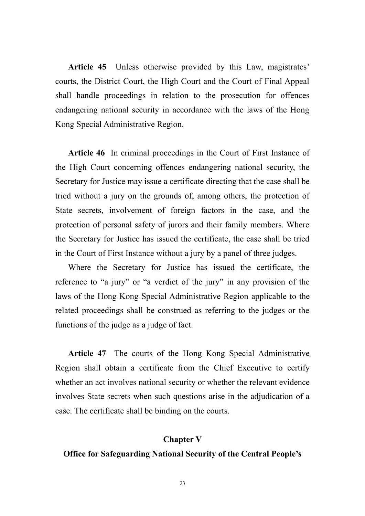**Article 45** Unless otherwise provided by this Law, magistrates' courts, the District Court, the High Court and the Court of Final Appeal shall handle proceedings in relation to the prosecution for offences endangering national security in accordance with the laws of the Hong Kong Special Administrative Region.

**Article 46** In criminal proceedings in the Court of First Instance of the High Court concerning offences endangering national security, the Secretary for Justice may issue a certificate directing that the case shall be tried without a jury on the grounds of, among others, the protection of State secrets, involvement of foreign factors in the case, and the protection of personal safety of jurors and their family members. Where the Secretary for Justice has issued the certificate, the case shall be tried in the Court of First Instance without a jury by a panel of three judges.

Where the Secretary for Justice has issued the certificate, the reference to "a jury" or "a verdict of the jury" in any provision of the laws of the Hong Kong Special Administrative Region applicable to the related proceedings shall be construed as referring to the judges or the functions of the judge as a judge of fact.

**Article 47** The courts of the Hong Kong Special Administrative Region shall obtain a certificate from the Chief Executive to certify whether an act involves national security or whether the relevant evidence involves State secrets when such questions arise in the adjudication of a case. The certificate shall be binding on the courts.

## **Chapter V**

## **Office for Safeguarding National Security of the Central People's**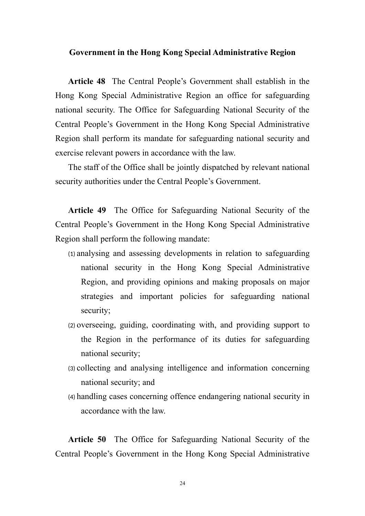## **Government in the Hong Kong Special Administrative Region**

**Article 48** The Central People's Government shall establish in the Hong Kong Special Administrative Region an office for safeguarding national security. The Office for Safeguarding National Security of the Central People's Government in the Hong Kong Special Administrative Region shall perform its mandate for safeguarding national security and exercise relevant powers in accordance with the law.

The staff of the Office shall be jointly dispatched by relevant national security authorities under the Central People's Government.

**Article 49** The Office for Safeguarding National Security of the Central People's Government in the Hong Kong Special Administrative Region shall perform the following mandate:

- (1) analysing and assessing developments in relation to safeguarding national security in the Hong Kong Special Administrative Region, and providing opinions and making proposals on major strategies and important policies for safeguarding national security;
- (2) overseeing, guiding, coordinating with, and providing support to the Region in the performance of its duties for safeguarding national security;
- (3) collecting and analysing intelligence and information concerning national security; and
- (4) handling cases concerning offence endangering national security in accordance with the law.

**Article 50** The Office for Safeguarding National Security of the Central People's Government in the Hong Kong Special Administrative

24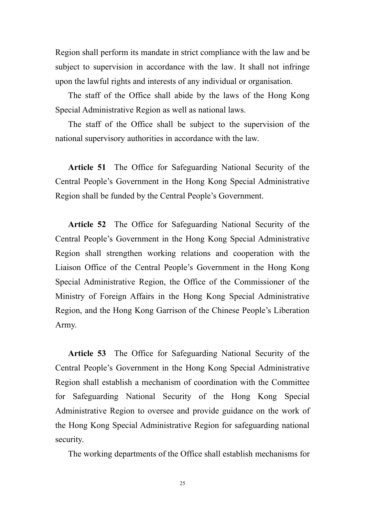Region shall perform its mandate in strict compliance with the law and be subject to supervision in accordance with the law. It shall not infringe upon the lawful rights and interests of any individual or organisation.

The staff of the Office shall abide by the laws of the Hong Kong Special Administrative Region as well as national laws.

The staff of the Office shall be subject to the supervision of the national supervisory authorities in accordance with the law.

**Article 51** The Office for Safeguarding National Security of the Central People's Government in the Hong Kong Special Administrative Region shall be funded by the Central People's Government.

**Article 52** The Office for Safeguarding National Security of the Central People's Government in the Hong Kong Special Administrative Region shall strengthen working relations and cooperation with the Liaison Office of the Central People's Government in the Hong Kong Special Administrative Region, the Office of the Commissioner of the Ministry of Foreign Affairs in the Hong Kong Special Administrative Region, and the Hong Kong Garrison of the Chinese People's Liberation Army.

**Article 53** The Office for Safeguarding National Security of the Central People's Government in the Hong Kong Special Administrative Region shall establish a mechanism of coordination with the Committee for Safeguarding National Security of the Hong Kong Special Administrative Region to oversee and provide guidance on the work of the Hong Kong Special Administrative Region for safeguarding national security.

The working departments of the Office shall establish mechanisms for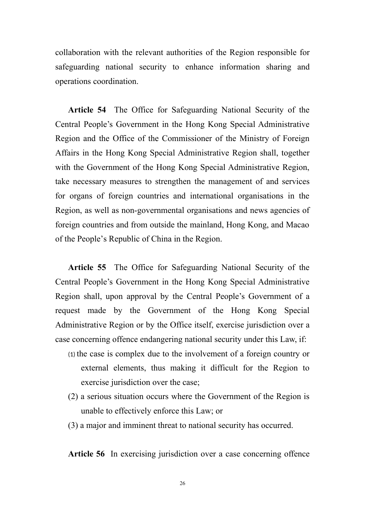collaboration with the relevant authorities of the Region responsible for safeguarding national security to enhance information sharing and operations coordination.

**Article 54** The Office for Safeguarding National Security of the Central People's Government in the Hong Kong Special Administrative Region and the Office of the Commissioner of the Ministry of Foreign Affairs in the Hong Kong Special Administrative Region shall, together with the Government of the Hong Kong Special Administrative Region, take necessary measures to strengthen the management of and services for organs of foreign countries and international organisations in the Region, as well as non-governmental organisations and news agencies of foreign countries and from outside the mainland, Hong Kong, and Macao of the People's Republic of China in the Region.

**Article 55** The Office for Safeguarding National Security of the Central People's Government in the Hong Kong Special Administrative Region shall, upon approval by the Central People's Government of a request made by the Government of the Hong Kong Special Administrative Region or by the Office itself, exercise jurisdiction over a case concerning offence endangering national security under this Law, if:

- (1) the case is complex due to the involvement of a foreign country or external elements, thus making it difficult for the Region to exercise jurisdiction over the case;
- (2) a serious situation occurs where the Government of the Region is unable to effectively enforce this Law; or
- (3) a major and imminent threat to national security has occurred.

**Article 56** In exercising jurisdiction over a case concerning offence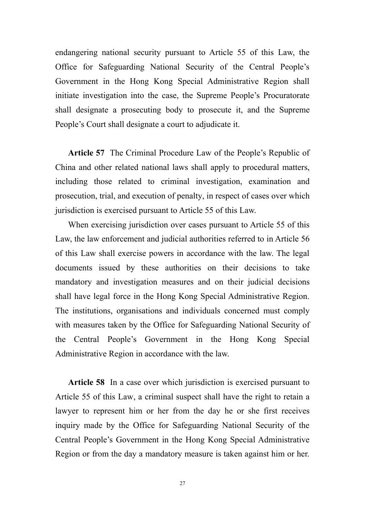endangering national security pursuant to Article 55 of this Law, the Office for Safeguarding National Security of the Central People's Government in the Hong Kong Special Administrative Region shall initiate investigation into the case, the Supreme People's Procuratorate shall designate a prosecuting body to prosecute it, and the Supreme People's Court shall designate a court to adjudicate it.

**Article 57** The Criminal Procedure Law of the People's Republic of China and other related national laws shall apply to procedural matters, including those related to criminal investigation, examination and prosecution, trial, and execution of penalty, in respect of cases over which jurisdiction is exercised pursuant to Article 55 of this Law.

When exercising jurisdiction over cases pursuant to Article 55 of this Law, the law enforcement and judicial authorities referred to in Article 56 of this Law shall exercise powers in accordance with the law. The legal documents issued by these authorities on their decisions to take mandatory and investigation measures and on their judicial decisions shall have legal force in the Hong Kong Special Administrative Region. The institutions, organisations and individuals concerned must comply with measures taken by the Office for Safeguarding National Security of the Central People's Government in the Hong Kong Special Administrative Region in accordance with the law.

**Article 58** In a case over which jurisdiction is exercised pursuant to Article 55 of this Law, a criminal suspect shall have the right to retain a lawyer to represent him or her from the day he or she first receives inquiry made by the Office for Safeguarding National Security of the Central People's Government in the Hong Kong Special Administrative Region or from the day a mandatory measure is taken against him or her.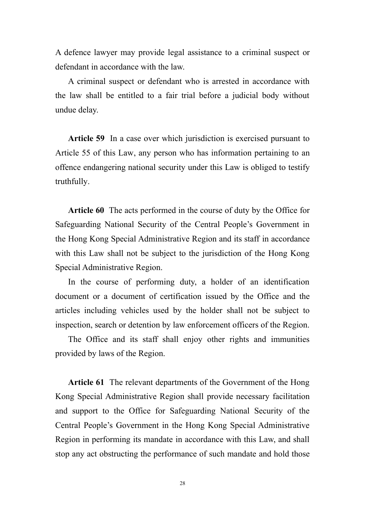A defence lawyer may provide legal assistance to a criminal suspect or defendant in accordance with the law.

A criminal suspect or defendant who is arrested in accordance with the law shall be entitled to a fair trial before a judicial body without undue delay.

**Article 59** In a case over which jurisdiction is exercised pursuant to Article 55 of this Law, any person who has information pertaining to an offence endangering national security under this Law is obliged to testify truthfully.

**Article 60** The acts performed in the course of duty by the Office for Safeguarding National Security of the Central People's Government in the Hong Kong Special Administrative Region and its staff in accordance with this Law shall not be subject to the jurisdiction of the Hong Kong Special Administrative Region.

In the course of performing duty, a holder of an identification document or a document of certification issued by the Office and the articles including vehicles used by the holder shall not be subject to inspection, search or detention by law enforcement officers of the Region.

The Office and its staff shall enjoy other rights and immunities provided by laws of the Region.

**Article 61** The relevant departments of the Government of the Hong Kong Special Administrative Region shall provide necessary facilitation and support to the Office for Safeguarding National Security of the Central People's Government in the Hong Kong Special Administrative Region in performing its mandate in accordance with this Law, and shall stop any act obstructing the performance of such mandate and hold those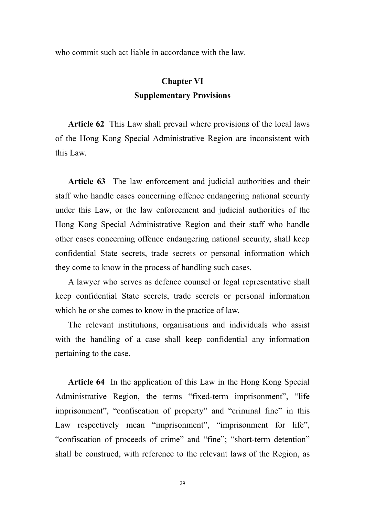who commit such act liable in accordance with the law.

# **Chapter VI Supplementary Provisions**

**Article 62** This Law shall prevail where provisions of the local laws of the Hong Kong Special Administrative Region are inconsistent with this Law.

**Article 63** The law enforcement and judicial authorities and their staff who handle cases concerning offence endangering national security under this Law, or the law enforcement and judicial authorities of the Hong Kong Special Administrative Region and their staff who handle other cases concerning offence endangering national security, shall keep confidential State secrets, trade secrets or personal information which they come to know in the process of handling such cases.

A lawyer who serves as defence counsel or legal representative shall keep confidential State secrets, trade secrets or personal information which he or she comes to know in the practice of law.

The relevant institutions, organisations and individuals who assist with the handling of a case shall keep confidential any information pertaining to the case.

**Article 64** In the application of this Law in the Hong Kong Special Administrative Region, the terms "fixed-term imprisonment", "life" imprisonment", "confiscation of property" and "criminal fine" in this Law respectively mean "imprisonment", "imprisonment for life", "confiscation of proceeds of crime" and "fine"; "short-term detention" shall be construed, with reference to the relevant laws of the Region, as